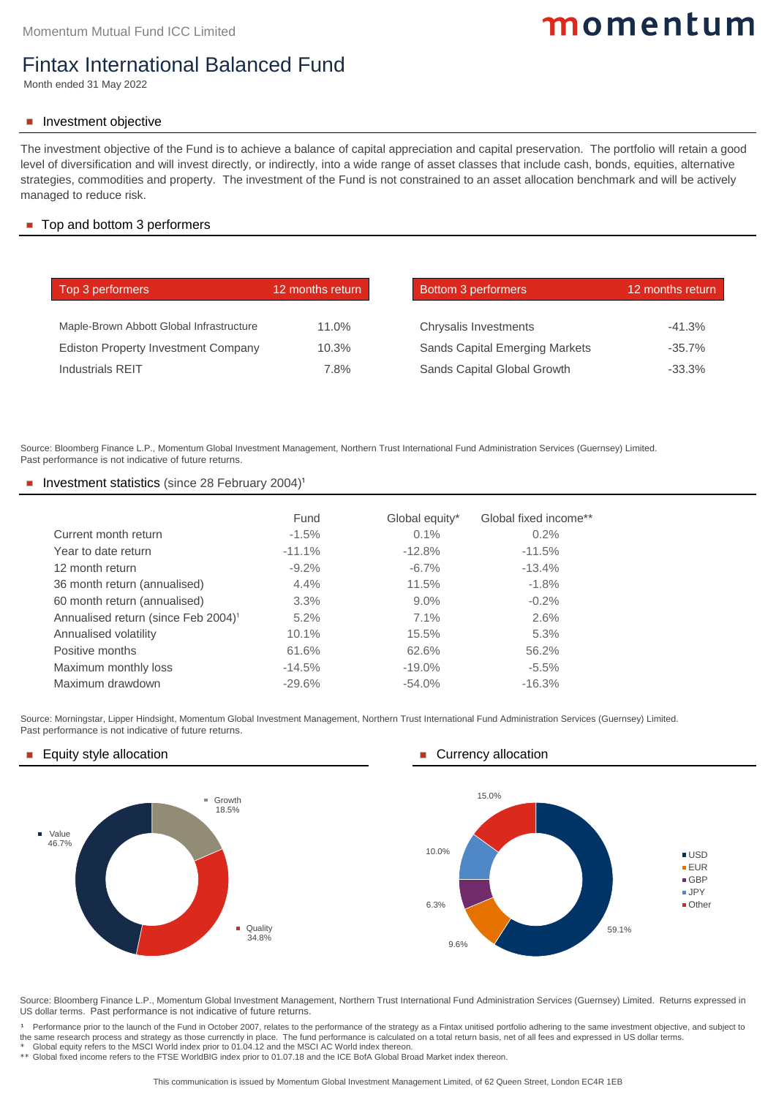|                                                 | <b>Fund</b> | Global equity* | Global fixed income** |
|-------------------------------------------------|-------------|----------------|-----------------------|
| Current month return                            | $-1.5%$     | $0.1\%$        | 0.2%                  |
| Year to date return                             | $-11.1%$    | $-12.8%$       | $-11.5%$              |
| 12 month return                                 | $-9.2\%$    | $-6.7\%$       | $-13.4%$              |
| 36 month return (annualised)                    | 4.4%        | 11.5%          | $-1.8\%$              |
| 60 month return (annualised)                    | 3.3%        | $9.0\%$        | $-0.2%$               |
| Annualised return (since Feb 2004) <sup>1</sup> | 5.2%        | $7.1\%$        | 2.6%                  |
| <b>Annualised volatility</b>                    | 10.1%       | 15.5%          | 5.3%                  |
| <b>Positive months</b>                          | 61.6%       | 62.6%          | 56.2%                 |
| Maximum monthly loss                            | $-14.5%$    | $-19.0\%$      | $-5.5%$               |
| Maximum drawdown                                | $-29.6%$    | $-54.0%$       | $-16.3%$              |

Source: Morningstar, Lipper Hindsight, Momentum Global Investment Management, Northern Trust International Fund Administration Services (Guernsey) Limited. Past performance is not indicative of future returns.

### Equity style allocation **Currency allocation Currency allocation**

| Top 3 performers                           | 12 months return | <b>Bottom 3 performers</b>            | 12 months return |
|--------------------------------------------|------------------|---------------------------------------|------------------|
|                                            |                  |                                       |                  |
| Maple-Brown Abbott Global Infrastructure   | 11.0%            | <b>Chrysalis Investments</b>          | $-41.3%$         |
| <b>Ediston Property Investment Company</b> | 10.3%            | <b>Sands Capital Emerging Markets</b> | $-35.7\%$        |
| <b>Industrials REIT</b>                    | $7.8\%$          | <b>Sands Capital Global Growth</b>    | $-33.3%$         |

## Top and bottom 3 performers

# momentum

<sup>1</sup> Performance prior to the launch of the Fund in October 2007, relates to the performance of the strategy as a Fintax unitised portfolio adhering to the same investment objective, and subject to the same research process and strategy as those currenctly in place. The fund performance is calculated on a total return basis, net of all fees and expressed in US dollar terms.

## Fintax International Balanced Fund

Month ended 31 May 2022

## Investment objective

Source: Bloomberg Finance L.P., Momentum Global Investment Management, Northern Trust International Fund Administration Services (Guernsey) Limited. Past performance is not indicative of future returns.

### Investment statistics (since 28 February 2004)<sup>1</sup>

Source: Bloomberg Finance L.P., Momentum Global Investment Management, Northern Trust International Fund Administration Services (Guernsey) Limited. Returns expressed in US dollar terms. Past performance is not indicative of future returns.

\* Global equity refers to the MSCI World index prior to 01.04.12 and the MSCI AC World index thereon.

\*\* Global fixed income refers to the FTSE WorldBIG index prior to 01.07.18 and the ICE BofA Global Broad Market index thereon.

The investment objective of the Fund is to achieve a balance of capital appreciation and capital preservation. The portfolio will retain a good level of diversification and will invest directly, or indirectly, into a wide range of asset classes that include cash, bonds, equities, alternative strategies, commodities and property. The investment of the Fund is not constrained to an asset allocation benchmark and will be actively managed to reduce risk.

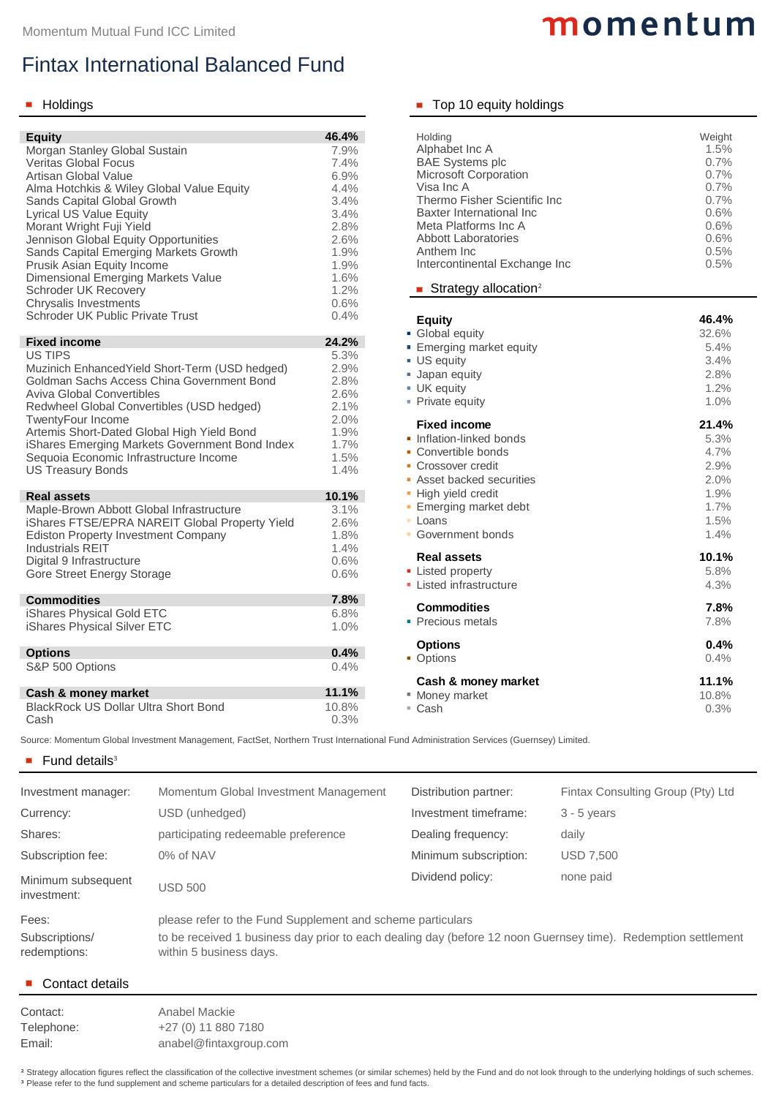| <b>Equity</b>                                |                                                                                                                                       | 46.4%   | <b>Holding</b>                             | Weight                                                                                                        |
|----------------------------------------------|---------------------------------------------------------------------------------------------------------------------------------------|---------|--------------------------------------------|---------------------------------------------------------------------------------------------------------------|
| <b>Morgan Stanley Global Sustain</b>         |                                                                                                                                       | 7.9%    | Alphabet Inc A                             | 1.5%                                                                                                          |
| <b>Veritas Global Focus</b>                  |                                                                                                                                       | 7.4%    | <b>BAE Systems plc</b>                     | 0.7%                                                                                                          |
| <b>Artisan Global Value</b>                  |                                                                                                                                       | 6.9%    | <b>Microsoft Corporation</b><br>Visa Inc A | 0.7%<br>0.7%                                                                                                  |
| Alma Hotchkis & Wiley Global Value Equity    |                                                                                                                                       | 4.4%    | <b>Thermo Fisher Scientific Inc.</b>       | 0.7%                                                                                                          |
| <b>Sands Capital Global Growth</b>           |                                                                                                                                       | 3.4%    | <b>Baxter International Inc.</b>           | 0.6%                                                                                                          |
| <b>Lyrical US Value Equity</b>               |                                                                                                                                       | 3.4%    |                                            |                                                                                                               |
| Morant Wright Fuji Yield                     |                                                                                                                                       | 2.8%    | Meta Platforms Inc A                       | 0.6%                                                                                                          |
| <b>Jennison Global Equity Opportunities</b>  |                                                                                                                                       | 2.6%    | <b>Abbott Laboratories</b>                 | 0.6%                                                                                                          |
| <b>Sands Capital Emerging Markets Growth</b> |                                                                                                                                       | 1.9%    | Anthem Inc                                 | 0.5%                                                                                                          |
| <b>Prusik Asian Equity Income</b>            |                                                                                                                                       | 1.9%    | Intercontinental Exchange Inc              | 0.5%                                                                                                          |
| Dimensional Emerging Markets Value           |                                                                                                                                       | 1.6%    |                                            |                                                                                                               |
| <b>Schroder UK Recovery</b>                  |                                                                                                                                       | 1.2%    | Strategy allocation <sup>2</sup>           |                                                                                                               |
| <b>Chrysalis Investments</b>                 |                                                                                                                                       | 0.6%    |                                            |                                                                                                               |
| <b>Schroder UK Public Private Trust</b>      |                                                                                                                                       | 0.4%    | <b>Equity</b>                              | 46.4%                                                                                                         |
|                                              |                                                                                                                                       |         | • Global equity                            | 32.6%                                                                                                         |
| <b>Fixed income</b>                          |                                                                                                                                       | 24.2%   | ■ Emerging market equity                   | 5.4%                                                                                                          |
| <b>US TIPS</b>                               |                                                                                                                                       | 5.3%    | <b>US equity</b>                           | 3.4%                                                                                                          |
|                                              | Muzinich Enhanced Yield Short-Term (USD hedged)                                                                                       | 2.9%    | <b>Japan equity</b>                        | 2.8%                                                                                                          |
|                                              | <b>Goldman Sachs Access China Government Bond</b>                                                                                     | 2.8%    | <b>UK</b> equity                           | 1.2%                                                                                                          |
| <b>Aviva Global Convertibles</b>             |                                                                                                                                       | 2.6%    |                                            |                                                                                                               |
| Redwheel Global Convertibles (USD hedged)    |                                                                                                                                       | 2.1%    | • Private equity                           | 1.0%                                                                                                          |
| <b>TwentyFour Income</b>                     |                                                                                                                                       | 2.0%    | <b>Fixed income</b>                        | 21.4%                                                                                                         |
| Artemis Short-Dated Global High Yield Bond   |                                                                                                                                       | 1.9%    | • Inflation-linked bonds                   |                                                                                                               |
|                                              | <b>iShares Emerging Markets Government Bond Index</b>                                                                                 | $1.7\%$ |                                            | 5.3%                                                                                                          |
| Sequoia Economic Infrastructure Income       |                                                                                                                                       | 1.5%    | • Convertible bonds                        | 4.7%                                                                                                          |
| <b>US Treasury Bonds</b>                     |                                                                                                                                       | 1.4%    | • Crossover credit                         | 2.9%                                                                                                          |
|                                              |                                                                                                                                       |         | Asset backed securities                    | 2.0%                                                                                                          |
| <b>Real assets</b>                           |                                                                                                                                       | 10.1%   | • High yield credit                        | 1.9%                                                                                                          |
| Maple-Brown Abbott Global Infrastructure     |                                                                                                                                       | 3.1%    | <b>Emerging market debt</b>                | 1.7%                                                                                                          |
|                                              | iShares FTSE/EPRA NAREIT Global Property Yield                                                                                        | 2.6%    | <b>Loans</b>                               | 1.5%                                                                                                          |
| <b>Ediston Property Investment Company</b>   |                                                                                                                                       | 1.8%    | • Government bonds                         | 1.4%                                                                                                          |
| <b>Industrials REIT</b>                      |                                                                                                                                       | 1.4%    |                                            |                                                                                                               |
| Digital 9 Infrastructure                     |                                                                                                                                       | 0.6%    | <b>Real assets</b>                         | 10.1%                                                                                                         |
| <b>Gore Street Energy Storage</b>            |                                                                                                                                       | 0.6%    | • Listed property                          | 5.8%                                                                                                          |
|                                              |                                                                                                                                       |         | • Listed infrastructure                    | 4.3%                                                                                                          |
| <b>Commodities</b>                           |                                                                                                                                       | 7.8%    |                                            |                                                                                                               |
|                                              |                                                                                                                                       |         | <b>Commodities</b>                         | 7.8%                                                                                                          |
| <b>iShares Physical Gold ETC</b>             |                                                                                                                                       | 6.8%    | • Precious metals                          | 7.8%                                                                                                          |
| <b>iShares Physical Silver ETC</b>           |                                                                                                                                       | $1.0\%$ |                                            |                                                                                                               |
|                                              |                                                                                                                                       |         | <b>Options</b>                             | 0.4%                                                                                                          |
| <b>Options</b>                               |                                                                                                                                       | 0.4%    | • Options                                  | 0.4%                                                                                                          |
| S&P 500 Options                              |                                                                                                                                       | 0.4%    |                                            |                                                                                                               |
|                                              |                                                                                                                                       |         | <b>Cash &amp; money market</b>             | 11.1%                                                                                                         |
| <b>Cash &amp; money market</b>               |                                                                                                                                       | 11.1%   | ■ Money market                             | 10.8%                                                                                                         |
| <b>BlackRock US Dollar Ultra Short Bond</b>  |                                                                                                                                       | 10.8%   | ■ Cash                                     | 0.3%                                                                                                          |
| Cash                                         |                                                                                                                                       | 0.3%    |                                            |                                                                                                               |
|                                              |                                                                                                                                       |         |                                            |                                                                                                               |
|                                              | Source: Momentum Global Investment Management, FactSet, Northern Trust International Fund Administration Services (Guernsey) Limited. |         |                                            |                                                                                                               |
| Fund details <sup>3</sup>                    |                                                                                                                                       |         |                                            |                                                                                                               |
|                                              |                                                                                                                                       |         |                                            |                                                                                                               |
| Investment manager:                          | Momentum Global Investment Management                                                                                                 |         | Distribution partner:                      | Fintax Consulting Group (Pty) Ltd                                                                             |
| Currency:                                    | USD (unhedged)                                                                                                                        |         | Investment timeframe:                      | $3 - 5$ years                                                                                                 |
| Shares:                                      | participating redeemable preference                                                                                                   |         | Dealing frequency:                         | daily                                                                                                         |
| Subscription fee:                            | 0% of NAV                                                                                                                             |         | Minimum subscription:                      | <b>USD 7,500</b>                                                                                              |
| Minimum subsequent<br>investment:            | <b>USD 500</b>                                                                                                                        |         | Dividend policy:                           | none paid                                                                                                     |
| Fees:                                        | please refer to the Fund Supplement and scheme particulars                                                                            |         |                                            |                                                                                                               |
| Subscriptions/                               |                                                                                                                                       |         |                                            | to be received 1 business day prior to each dealing day (before 12 noon Guernsey time). Redemption settlement |
| redemptions:                                 | within 5 business days.                                                                                                               |         |                                            |                                                                                                               |

## **Holdings Top 10 equity holdings**

Contact: Anabel Mackie Telephone: +27 (0) 11 880 7180 Email: [anabel@fintaxgroup.com](mailto:anabel@fintaxgroup.com)

<sup>2</sup> Strategy allocation figures reflect the classification of the collective investment schemes (or similar schemes) held by the Fund and do not look through to the underlying holdings of such schemes. <sup>3</sup> Please refer to the fund supplement and scheme particulars for a detailed description of fees and fund facts.

## Fintax International Balanced Fund

| <b>Equity</b><br><b>Morgan Stanley Global Sustain</b><br><b>Veritas Global Focus</b><br><b>Artisan Global Value</b><br>Alma Hotchkis & Wiley Global Value Equity<br><b>Sands Capital Global Growth</b><br><b>Lyrical US Value Equity</b><br>Morant Wright Fuji Yield<br>Jennison Global Equity Opportunities<br><b>Sands Capital Emerging Markets Growth</b><br><b>Prusik Asian Equity Income</b><br><b>Dimensional Emerging Markets Value</b><br><b>Schroder UK Recovery</b> |                                                                                                                                                        | 46.4%<br>7.9%<br>7.4%<br>6.9%<br>4.4%<br>3.4%<br>3.4%<br>2.8%<br>2.6%<br>1.9%<br>1.9%<br>1.6%<br>1.2% | <b>Holding</b><br>Alphabet Inc A<br><b>BAE Systems plc</b><br><b>Microsoft Corporation</b><br>Visa Inc A<br><b>Thermo Fisher Scientific Inc.</b><br><b>Baxter International Inc.</b><br>Meta Platforms Inc A<br><b>Abbott Laboratories</b><br>Anthem Inc<br>Intercontinental Exchange Inc<br>Strategy allocation <sup>2</sup> | Weight<br>1.5%<br>0.7%<br>0.7%<br>0.7%<br>0.7%<br>0.6%<br>0.6%<br>0.6%<br>0.5%<br>0.5%                        |  |
|-------------------------------------------------------------------------------------------------------------------------------------------------------------------------------------------------------------------------------------------------------------------------------------------------------------------------------------------------------------------------------------------------------------------------------------------------------------------------------|--------------------------------------------------------------------------------------------------------------------------------------------------------|-------------------------------------------------------------------------------------------------------|-------------------------------------------------------------------------------------------------------------------------------------------------------------------------------------------------------------------------------------------------------------------------------------------------------------------------------|---------------------------------------------------------------------------------------------------------------|--|
| <b>Chrysalis Investments</b><br><b>Schroder UK Public Private Trust</b><br><b>Fixed income</b><br><b>US TIPS</b><br><b>Aviva Global Convertibles</b><br>Redwheel Global Convertibles (USD hedged)<br><b>TwentyFour Income</b><br>Artemis Short-Dated Global High Yield Bond<br>Sequoia Economic Infrastructure Income                                                                                                                                                         | Muzinich Enhanced Yield Short-Term (USD hedged)<br><b>Goldman Sachs Access China Government Bond</b><br>iShares Emerging Markets Government Bond Index | 0.6%<br>0.4%<br>24.2%<br>5.3%<br>2.9%<br>2.8%<br>2.6%<br>2.1%<br>2.0%<br>1.9%<br>$1.7\%$<br>1.5%      | <b>Equity</b><br>• Global equity<br>■ Emerging market equity<br><b>US equity</b><br><b>Japan equity</b><br><b>UK</b> equity<br>• Private equity<br><b>Fixed income</b><br>• Inflation-linked bonds<br>• Convertible bonds<br>• Crossover credit                                                                               | 46.4%<br>32.6%<br>5.4%<br>3.4%<br>2.8%<br>1.2%<br>1.0%<br>21.4%<br>5.3%<br>4.7%<br>2.9%                       |  |
| <b>US Treasury Bonds</b><br><b>Real assets</b><br>Maple-Brown Abbott Global Infrastructure<br><b>Ediston Property Investment Company</b><br><b>Industrials REIT</b><br>Digital 9 Infrastructure<br><b>Gore Street Energy Storage</b><br><b>Commodities</b><br><b>iShares Physical Gold ETC</b>                                                                                                                                                                                | <b>iShares FTSE/EPRA NAREIT Global Property Yield</b>                                                                                                  | 1.4%<br>10.1%<br>3.1%<br>2.6%<br>1.8%<br>1.4%<br>0.6%<br>0.6%<br>7.8%<br>6.8%                         | Asset backed securities<br>- High yield credit<br><b>Emerging market debt</b><br><b>Loans</b><br>• Government bonds<br><b>Real assets</b><br>• Listed property<br>• Listed infrastructure<br><b>Commodities</b>                                                                                                               | 2.0%<br>1.9%<br>1.7%<br>1.5%<br>1.4%<br>10.1%<br>5.8%<br>4.3%<br>7.8%                                         |  |
| <b>iShares Physical Silver ETC</b><br><b>Options</b><br>S&P 500 Options<br><b>Cash &amp; money market</b><br><b>BlackRock US Dollar Ultra Short Bond</b><br>Cash                                                                                                                                                                                                                                                                                                              | Source: Momentum Global Investment Management, FactSet, Northern Trust International Fund Administration Services (Guernsey) Limited.                  | $1.0\%$<br>0.4%<br>0.4%<br>11.1%<br>10.8%<br>0.3%                                                     | • Precious metals<br><b>Options</b><br>• Options<br>Cash & money market<br>■ Money market<br>■ Cash                                                                                                                                                                                                                           | 7.8%<br>0.4%<br>0.4%<br>11.1%<br>10.8%<br>0.3%                                                                |  |
| Fund details $3$                                                                                                                                                                                                                                                                                                                                                                                                                                                              |                                                                                                                                                        |                                                                                                       |                                                                                                                                                                                                                                                                                                                               |                                                                                                               |  |
| Investment manager:                                                                                                                                                                                                                                                                                                                                                                                                                                                           | Momentum Global Investment Management                                                                                                                  |                                                                                                       | Distribution partner:                                                                                                                                                                                                                                                                                                         | Fintax Consulting Group (Pty) Ltd                                                                             |  |
| Currency:                                                                                                                                                                                                                                                                                                                                                                                                                                                                     | USD (unhedged)                                                                                                                                         |                                                                                                       | Investment timeframe:                                                                                                                                                                                                                                                                                                         | $3 - 5$ years                                                                                                 |  |
| Shares:                                                                                                                                                                                                                                                                                                                                                                                                                                                                       | participating redeemable preference                                                                                                                    |                                                                                                       | Dealing frequency:                                                                                                                                                                                                                                                                                                            | daily                                                                                                         |  |
| <b>Subscription fee:</b>                                                                                                                                                                                                                                                                                                                                                                                                                                                      | 0% of NAV                                                                                                                                              |                                                                                                       | Minimum subscription:                                                                                                                                                                                                                                                                                                         | <b>USD 7,500</b>                                                                                              |  |
| Minimum subsequent<br>investment:                                                                                                                                                                                                                                                                                                                                                                                                                                             | <b>USD 500</b>                                                                                                                                         |                                                                                                       | Dividend policy:                                                                                                                                                                                                                                                                                                              | none paid                                                                                                     |  |
| Fees:<br>Subscriptions/                                                                                                                                                                                                                                                                                                                                                                                                                                                       | please refer to the Fund Supplement and scheme particulars                                                                                             |                                                                                                       |                                                                                                                                                                                                                                                                                                                               | to be received 1 business day prior to each dealing day (before 12 noon Guernsey time). Redemption settlement |  |

# momentum

## ■ Contact details